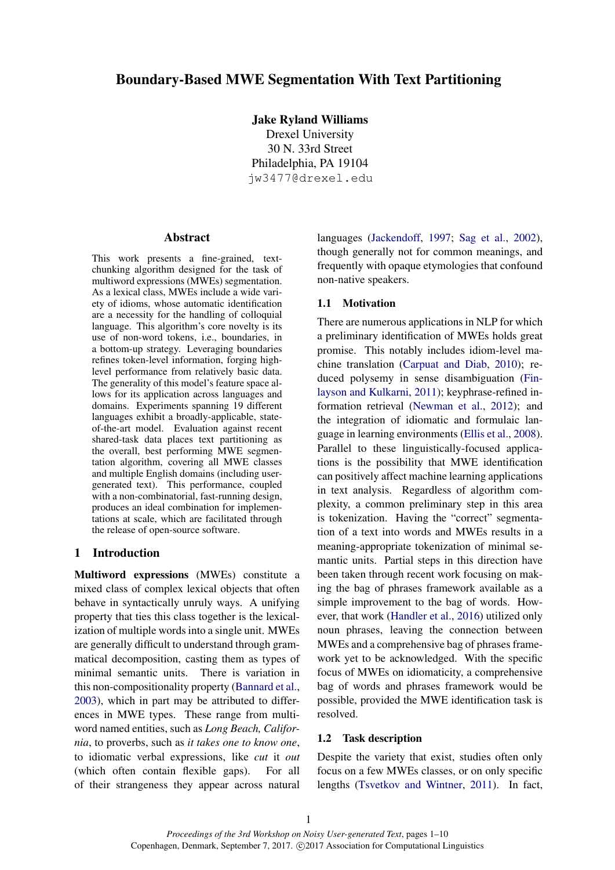# Boundary-Based MWE Segmentation With Text Partitioning

Jake Ryland Williams

Drexel University 30 N. 33rd Street Philadelphia, PA 19104 jw3477@drexel.edu

### Abstract

This work presents a fine-grained, textchunking algorithm designed for the task of multiword expressions (MWEs) segmentation. As a lexical class, MWEs include a wide variety of idioms, whose automatic identification are a necessity for the handling of colloquial language. This algorithm's core novelty is its use of non-word tokens, i.e., boundaries, in a bottom-up strategy. Leveraging boundaries refines token-level information, forging highlevel performance from relatively basic data. The generality of this model's feature space allows for its application across languages and domains. Experiments spanning 19 different languages exhibit a broadly-applicable, stateof-the-art model. Evaluation against recent shared-task data places text partitioning as the overall, best performing MWE segmentation algorithm, covering all MWE classes and multiple English domains (including usergenerated text). This performance, coupled with a non-combinatorial, fast-running design, produces an ideal combination for implementations at scale, which are facilitated through the release of open-source software.

## 1 Introduction

Multiword expressions (MWEs) constitute a mixed class of complex lexical objects that often behave in syntactically unruly ways. A unifying property that ties this class together is the lexicalization of multiple words into a single unit. MWEs are generally difficult to understand through grammatical decomposition, casting them as types of minimal semantic units. There is variation in this non-compositionality property (Bannard et al., 2003), which in part may be attributed to differences in MWE types. These range from multiword named entities, such as *Long Beach, California*, to proverbs, such as *it takes one to know one*, to idiomatic verbal expressions, like *cut* it *out* (which often contain flexible gaps). For all of their strangeness they appear across natural languages (Jackendoff, 1997; Sag et al., 2002), though generally not for common meanings, and frequently with opaque etymologies that confound non-native speakers.

#### 1.1 Motivation

There are numerous applications in NLP for which a preliminary identification of MWEs holds great promise. This notably includes idiom-level machine translation (Carpuat and Diab, 2010); reduced polysemy in sense disambiguation (Finlayson and Kulkarni, 2011); keyphrase-refined information retrieval (Newman et al., 2012); and the integration of idiomatic and formulaic language in learning environments (Ellis et al., 2008). Parallel to these linguistically-focused applications is the possibility that MWE identification can positively affect machine learning applications in text analysis. Regardless of algorithm complexity, a common preliminary step in this area is tokenization. Having the "correct" segmentation of a text into words and MWEs results in a meaning-appropriate tokenization of minimal semantic units. Partial steps in this direction have been taken through recent work focusing on making the bag of phrases framework available as a simple improvement to the bag of words. However, that work (Handler et al., 2016) utilized only noun phrases, leaving the connection between MWEs and a comprehensive bag of phrases framework yet to be acknowledged. With the specific focus of MWEs on idiomaticity, a comprehensive bag of words and phrases framework would be possible, provided the MWE identification task is resolved.

### 1.2 Task description

Despite the variety that exist, studies often only focus on a few MWEs classes, or on only specific lengths (Tsvetkov and Wintner, 2011). In fact,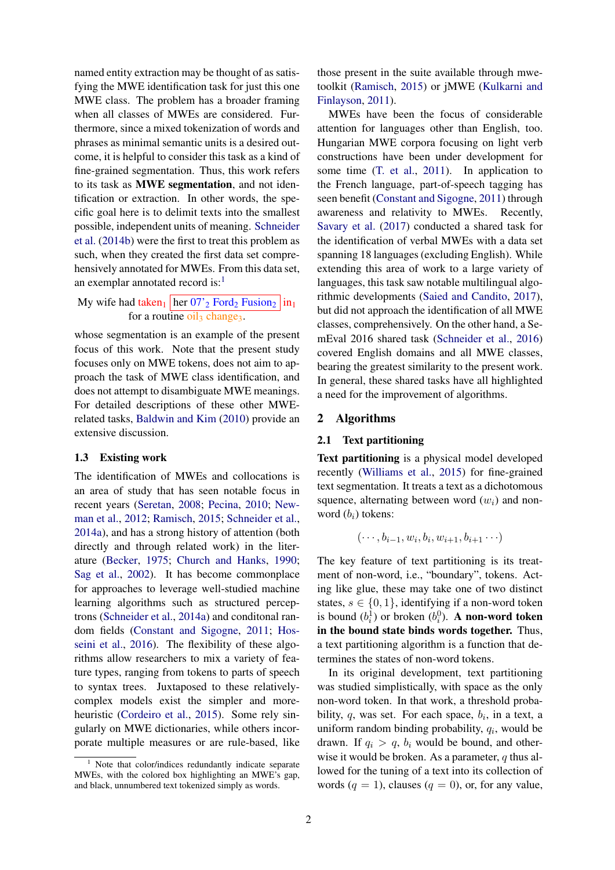named entity extraction may be thought of as satisfying the MWE identification task for just this one MWE class. The problem has a broader framing when all classes of MWEs are considered. Furthermore, since a mixed tokenization of words and phrases as minimal semantic units is a desired outcome, it is helpful to consider this task as a kind of fine-grained segmentation. Thus, this work refers to its task as MWE segmentation, and not identification or extraction. In other words, the specific goal here is to delimit texts into the smallest possible, independent units of meaning. Schneider et al. (2014b) were the first to treat this problem as such, when they created the first data set comprehensively annotated for MWEs. From this data set, an exemplar annotated record is: $<sup>1</sup>$ </sup>

My wife had taken<sub>1</sub> her  $07'$ <sup>2</sup> Ford<sub>2</sub> Fusion<sub>2</sub> in<sub>1</sub> for a routine  $oil<sub>3</sub> change<sub>3</sub>$ .

whose segmentation is an example of the present focus of this work. Note that the present study focuses only on MWE tokens, does not aim to approach the task of MWE class identification, and does not attempt to disambiguate MWE meanings. For detailed descriptions of these other MWErelated tasks, Baldwin and Kim (2010) provide an extensive discussion.

#### 1.3 Existing work

The identification of MWEs and collocations is an area of study that has seen notable focus in recent years (Seretan, 2008; Pecina, 2010; Newman et al., 2012; Ramisch, 2015; Schneider et al., 2014a), and has a strong history of attention (both directly and through related work) in the literature (Becker, 1975; Church and Hanks, 1990; Sag et al., 2002). It has become commonplace for approaches to leverage well-studied machine learning algorithms such as structured perceptrons (Schneider et al., 2014a) and conditonal random fields (Constant and Sigogne, 2011; Hosseini et al., 2016). The flexibility of these algorithms allow researchers to mix a variety of feature types, ranging from tokens to parts of speech to syntax trees. Juxtaposed to these relativelycomplex models exist the simpler and moreheuristic (Cordeiro et al., 2015). Some rely singularly on MWE dictionaries, while others incorporate multiple measures or are rule-based, like

those present in the suite available through mwetoolkit (Ramisch, 2015) or jMWE (Kulkarni and Finlayson, 2011).

MWEs have been the focus of considerable attention for languages other than English, too. Hungarian MWE corpora focusing on light verb constructions have been under development for some time (T. et al., 2011). In application to the French language, part-of-speech tagging has seen benefit (Constant and Sigogne, 2011) through awareness and relativity to MWEs. Recently, Savary et al. (2017) conducted a shared task for the identification of verbal MWEs with a data set spanning 18 languages (excluding English). While extending this area of work to a large variety of languages, this task saw notable multilingual algorithmic developments (Saied and Candito, 2017), but did not approach the identification of all MWE classes, comprehensively. On the other hand, a SemEval 2016 shared task (Schneider et al., 2016) covered English domains and all MWE classes, bearing the greatest similarity to the present work. In general, these shared tasks have all highlighted a need for the improvement of algorithms.

### 2 Algorithms

#### 2.1 Text partitioning

Text partitioning is a physical model developed recently (Williams et al., 2015) for fine-grained text segmentation. It treats a text as a dichotomous squence, alternating between word  $(w_i)$  and nonword  $(b_i)$  tokens:

$$
(\cdots,b_{i-1},w_i,b_i,w_{i+1},b_{i+1}\cdots)
$$

The key feature of text partitioning is its treatment of non-word, i.e., "boundary", tokens. Acting like glue, these may take one of two distinct states,  $s \in \{0, 1\}$ , identifying if a non-word token is bound  $(b_i^1)$  or broken  $(b_i^0)$ . **A non-word token** in the bound state binds words together. Thus, a text partitioning algorithm is a function that determines the states of non-word tokens.

In its original development, text partitioning was studied simplistically, with space as the only non-word token. In that work, a threshold probability,  $q$ , was set. For each space,  $b_i$ , in a text, a uniform random binding probability,  $q_i$ , would be drawn. If  $q_i > q$ ,  $b_i$  would be bound, and otherwise it would be broken. As a parameter,  $q$  thus allowed for the tuning of a text into its collection of words ( $q = 1$ ), clauses ( $q = 0$ ), or, for any value,

 $1$  Note that color/indices redundantly indicate separate MWEs, with the colored box highlighting an MWE's gap, and black, unnumbered text tokenized simply as words.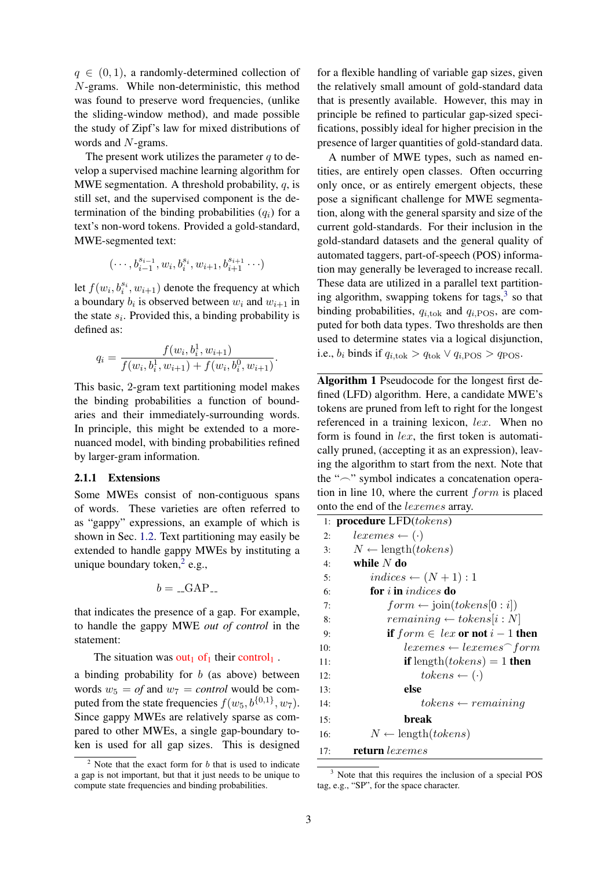$q \in (0, 1)$ , a randomly-determined collection of N-grams. While non-deterministic, this method was found to preserve word frequencies, (unlike the sliding-window method), and made possible the study of Zipf's law for mixed distributions of words and N-grams.

The present work utilizes the parameter  $q$  to develop a supervised machine learning algorithm for MWE segmentation. A threshold probability,  $q$ , is still set, and the supervised component is the determination of the binding probabilities  $(q_i)$  for a text's non-word tokens. Provided a gold-standard, MWE-segmented text:

$$
(\cdots, b^{s_{i-1}}_{i-1}, w_i, b^{s_i}_i, w_{i+1}, b^{s_{i+1}}_{i+1} \cdots)
$$

let  $f(w_i, b_i^{s_i}, w_{i+1})$  denote the frequency at which a boundary  $b_i$  is observed between  $w_i$  and  $w_{i+1}$  in the state  $s_i$ . Provided this, a binding probability is defined as:

$$
q_i = \frac{f(w_i, b_i^1, w_{i+1})}{f(w_i, b_i^1, w_{i+1}) + f(w_i, b_i^0, w_{i+1})}.
$$

This basic, 2-gram text partitioning model makes the binding probabilities a function of boundaries and their immediately-surrounding words. In principle, this might be extended to a morenuanced model, with binding probabilities refined by larger-gram information.

#### 2.1.1 Extensions

Some MWEs consist of non-contiguous spans of words. These varieties are often referred to as "gappy" expressions, an example of which is shown in Sec. 1.2. Text partitioning may easily be extended to handle gappy MWEs by instituting a unique boundary token, $2$  e.g.,

$$
b = \_GAP
$$

that indicates the presence of a gap. For example, to handle the gappy MWE *out of control* in the statement:

The situation was out<sub>1</sub> of<sub>1</sub> their control<sub>1</sub>.

a binding probability for  $b$  (as above) between words  $w_5 = of$  and  $w_7 = control$  would be computed from the state frequencies  $f(w_5, b^{\{0,1\}}, w_7)$ . Since gappy MWEs are relatively sparse as compared to other MWEs, a single gap-boundary token is used for all gap sizes. This is designed

for a flexible handling of variable gap sizes, given the relatively small amount of gold-standard data that is presently available. However, this may in principle be refined to particular gap-sized specifications, possibly ideal for higher precision in the presence of larger quantities of gold-standard data.

A number of MWE types, such as named entities, are entirely open classes. Often occurring only once, or as entirely emergent objects, these pose a significant challenge for MWE segmentation, along with the general sparsity and size of the current gold-standards. For their inclusion in the gold-standard datasets and the general quality of automated taggers, part-of-speech (POS) information may generally be leveraged to increase recall. These data are utilized in a parallel text partitioning algorithm, swapping tokens for tags, $3$  so that binding probabilities,  $q_{i, \text{tok}}$  and  $q_{i, \text{POS}}$ , are computed for both data types. Two thresholds are then used to determine states via a logical disjunction, i.e.,  $b_i$  binds if  $q_{i,\text{tok}} > q_{\text{tok}} \vee q_{i,\text{POS}} > q_{\text{POS}}$ .

Algorithm 1 Pseudocode for the longest first defined (LFD) algorithm. Here, a candidate MWE's tokens are pruned from left to right for the longest referenced in a training lexicon, lex. When no form is found in lex, the first token is automatically pruned, (accepting it as an expression), leaving the algorithm to start from the next. Note that the " $\sim$ " symbol indicates a concatenation operation in line 10, where the current form is placed onto the end of the lexemes array.

|     | 1: <b>procedure</b> $LFD(tokens)$                 |
|-----|---------------------------------------------------|
| 2:  | $lexemes \leftarrow (\cdot)$                      |
| 3:  | $N \leftarrow$ length( <i>tokens</i> )            |
| 4:  | while $N$ do                                      |
| 5:  | $indices \leftarrow (N+1):1$                      |
| 6:  | for <i>i</i> in <i>indices</i> do                 |
| 7:  | $form \leftarrow join(tokens[0:i])$               |
| 8:  | $remaining \leftarrow tokens[i:N]$                |
| 9:  | if $form \in lex$ or not $i-1$ then               |
| 10: | $lexemes \leftarrow lexemes \cap form$            |
| 11: | <b>if</b> length( <i>tokens</i> ) = 1 <b>then</b> |
| 12: | $ tokens \leftarrow (\cdot)$                      |
| 13: | else                                              |
| 14: | $to kens \leftarrow remaining$                    |
| 15: | break                                             |
| 16: | $N \leftarrow$ length( <i>tokens</i> )            |
| 17: | <b>return</b> lexemes                             |

<sup>&</sup>lt;sup>3</sup> Note that this requires the inclusion of a special POS tag, e.g., "SP", for the space character.

 $2$  Note that the exact form for b that is used to indicate a gap is not important, but that it just needs to be unique to compute state frequencies and binding probabilities.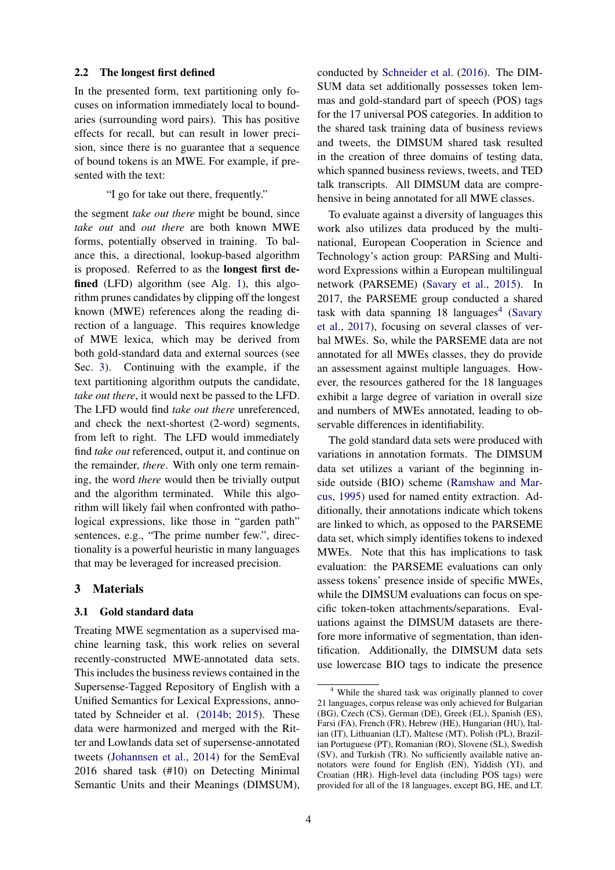#### 2.2 The longest first defined

In the presented form, text partitioning only focuses on information immediately local to boundaries (surrounding word pairs). This has positive effects for recall, but can result in lower precision, since there is no guarantee that a sequence of bound tokens is an MWE. For example, if presented with the text:

### "I go for take out there, frequently."

the segment *take out there* might be bound, since *take out* and *out there* are both known MWE forms, potentially observed in training. To balance this, a directional, lookup-based algorithm is proposed. Referred to as the longest first defined (LFD) algorithm (see Alg. 1), this algorithm prunes candidates by clipping off the longest known (MWE) references along the reading direction of a language. This requires knowledge of MWE lexica, which may be derived from both gold-standard data and external sources (see Sec. 3). Continuing with the example, if the text partitioning algorithm outputs the candidate, *take out there*, it would next be passed to the LFD. The LFD would find *take out there* unreferenced, and check the next-shortest (2-word) segments, from left to right. The LFD would immediately find *take out* referenced, output it, and continue on the remainder, *there*. With only one term remaining, the word *there* would then be trivially output and the algorithm terminated. While this algorithm will likely fail when confronted with pathological expressions, like those in "garden path" sentences, e.g., "The prime number few.", directionality is a powerful heuristic in many languages that may be leveraged for increased precision.

### 3 Materials

### 3.1 Gold standard data

Treating MWE segmentation as a supervised machine learning task, this work relies on several recently-constructed MWE-annotated data sets. This includes the business reviews contained in the Supersense-Tagged Repository of English with a Unified Semantics for Lexical Expressions, annotated by Schneider et al. (2014b; 2015). These data were harmonized and merged with the Ritter and Lowlands data set of supersense-annotated tweets (Johannsen et al., 2014) for the SemEval 2016 shared task (#10) on Detecting Minimal Semantic Units and their Meanings (DIMSUM),

conducted by Schneider et al. (2016). The DIM-SUM data set additionally possesses token lemmas and gold-standard part of speech (POS) tags for the 17 universal POS categories. In addition to the shared task training data of business reviews and tweets, the DIMSUM shared task resulted in the creation of three domains of testing data, which spanned business reviews, tweets, and TED talk transcripts. All DIMSUM data are comprehensive in being annotated for all MWE classes.

To evaluate against a diversity of languages this work also utilizes data produced by the multinational, European Cooperation in Science and Technology's action group: PARSing and Multiword Expressions within a European multilingual network (PARSEME) (Savary et al., 2015). In 2017, the PARSEME group conducted a shared task with data spanning  $18$  languages<sup>4</sup> (Savary et al., 2017), focusing on several classes of verbal MWEs. So, while the PARSEME data are not annotated for all MWEs classes, they do provide an assessment against multiple languages. However, the resources gathered for the 18 languages exhibit a large degree of variation in overall size and numbers of MWEs annotated, leading to observable differences in identifiability.

The gold standard data sets were produced with variations in annotation formats. The DIMSUM data set utilizes a variant of the beginning inside outside (BIO) scheme (Ramshaw and Marcus, 1995) used for named entity extraction. Additionally, their annotations indicate which tokens are linked to which, as opposed to the PARSEME data set, which simply identifies tokens to indexed MWEs. Note that this has implications to task evaluation: the PARSEME evaluations can only assess tokens' presence inside of specific MWEs, while the DIMSUM evaluations can focus on specific token-token attachments/separations. Evaluations against the DIMSUM datasets are therefore more informative of segmentation, than identification. Additionally, the DIMSUM data sets use lowercase BIO tags to indicate the presence

<sup>4</sup> While the shared task was originally planned to cover 21 languages, corpus release was only achieved for Bulgarian (BG), Czech (CS), German (DE), Greek (EL), Spanish (ES), Farsi (FA), French (FR), Hebrew (HE), Hungarian (HU), Italian (IT), Lithuanian (LT), Maltese (MT), Polish (PL), Brazilian Portuguese (PT), Romanian (RO), Slovene (SL), Swedish (SV), and Turkish (TR). No sufficiently available native annotators were found for English (EN), Yiddish (YI), and Croatian (HR). High-level data (including POS tags) were provided for all of the 18 languages, except BG, HE, and LT.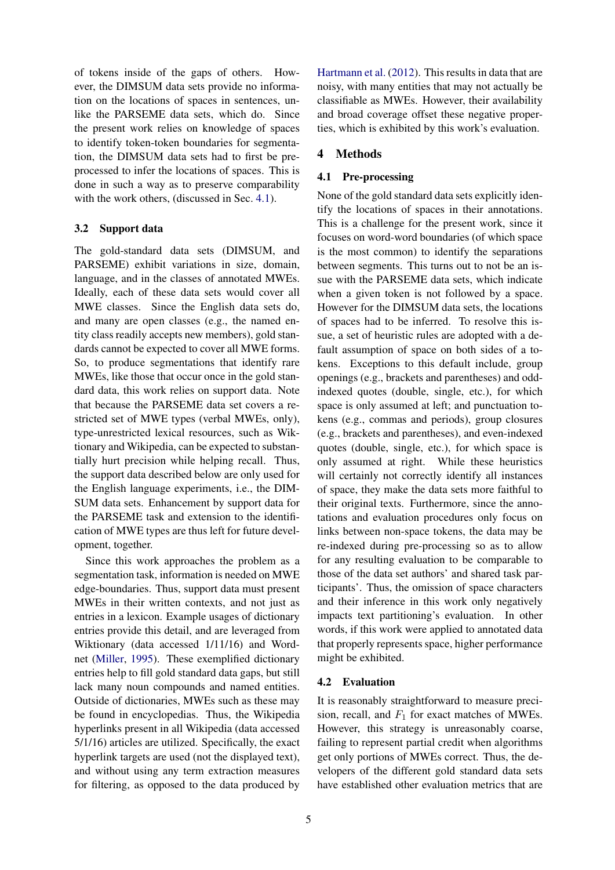of tokens inside of the gaps of others. However, the DIMSUM data sets provide no information on the locations of spaces in sentences, unlike the PARSEME data sets, which do. Since the present work relies on knowledge of spaces to identify token-token boundaries for segmentation, the DIMSUM data sets had to first be preprocessed to infer the locations of spaces. This is done in such a way as to preserve comparability with the work others, (discussed in Sec. 4.1).

## 3.2 Support data

The gold-standard data sets (DIMSUM, and PARSEME) exhibit variations in size, domain, language, and in the classes of annotated MWEs. Ideally, each of these data sets would cover all MWE classes. Since the English data sets do, and many are open classes (e.g., the named entity class readily accepts new members), gold standards cannot be expected to cover all MWE forms. So, to produce segmentations that identify rare MWEs, like those that occur once in the gold standard data, this work relies on support data. Note that because the PARSEME data set covers a restricted set of MWE types (verbal MWEs, only), type-unrestricted lexical resources, such as Wiktionary and Wikipedia, can be expected to substantially hurt precision while helping recall. Thus, the support data described below are only used for the English language experiments, i.e., the DIM-SUM data sets. Enhancement by support data for the PARSEME task and extension to the identification of MWE types are thus left for future development, together.

Since this work approaches the problem as a segmentation task, information is needed on MWE edge-boundaries. Thus, support data must present MWEs in their written contexts, and not just as entries in a lexicon. Example usages of dictionary entries provide this detail, and are leveraged from Wiktionary (data accessed 1/11/16) and Wordnet (Miller, 1995). These exemplified dictionary entries help to fill gold standard data gaps, but still lack many noun compounds and named entities. Outside of dictionaries, MWEs such as these may be found in encyclopedias. Thus, the Wikipedia hyperlinks present in all Wikipedia (data accessed 5/1/16) articles are utilized. Specifically, the exact hyperlink targets are used (not the displayed text), and without using any term extraction measures for filtering, as opposed to the data produced by

Hartmann et al. (2012). This results in data that are noisy, with many entities that may not actually be classifiable as MWEs. However, their availability and broad coverage offset these negative properties, which is exhibited by this work's evaluation.

## 4 Methods

## 4.1 Pre-processing

None of the gold standard data sets explicitly identify the locations of spaces in their annotations. This is a challenge for the present work, since it focuses on word-word boundaries (of which space is the most common) to identify the separations between segments. This turns out to not be an issue with the PARSEME data sets, which indicate when a given token is not followed by a space. However for the DIMSUM data sets, the locations of spaces had to be inferred. To resolve this issue, a set of heuristic rules are adopted with a default assumption of space on both sides of a tokens. Exceptions to this default include, group openings (e.g., brackets and parentheses) and oddindexed quotes (double, single, etc.), for which space is only assumed at left; and punctuation tokens (e.g., commas and periods), group closures (e.g., brackets and parentheses), and even-indexed quotes (double, single, etc.), for which space is only assumed at right. While these heuristics will certainly not correctly identify all instances of space, they make the data sets more faithful to their original texts. Furthermore, since the annotations and evaluation procedures only focus on links between non-space tokens, the data may be re-indexed during pre-processing so as to allow for any resulting evaluation to be comparable to those of the data set authors' and shared task participants'. Thus, the omission of space characters and their inference in this work only negatively impacts text partitioning's evaluation. In other words, if this work were applied to annotated data that properly represents space, higher performance might be exhibited.

### 4.2 Evaluation

It is reasonably straightforward to measure precision, recall, and  $F_1$  for exact matches of MWEs. However, this strategy is unreasonably coarse, failing to represent partial credit when algorithms get only portions of MWEs correct. Thus, the developers of the different gold standard data sets have established other evaluation metrics that are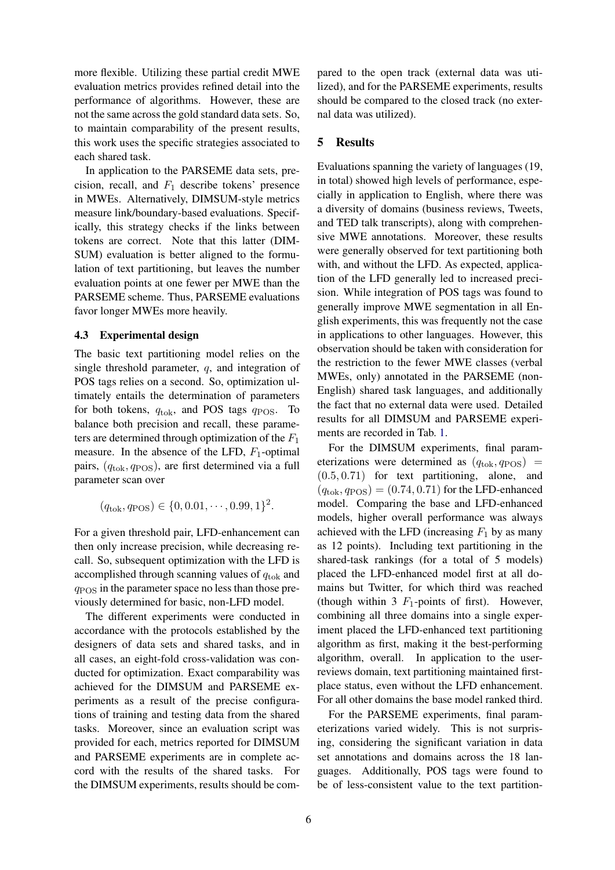more flexible. Utilizing these partial credit MWE evaluation metrics provides refined detail into the performance of algorithms. However, these are not the same across the gold standard data sets. So, to maintain comparability of the present results, this work uses the specific strategies associated to each shared task.

In application to the PARSEME data sets, precision, recall, and  $F_1$  describe tokens' presence in MWEs. Alternatively, DIMSUM-style metrics measure link/boundary-based evaluations. Specifically, this strategy checks if the links between tokens are correct. Note that this latter (DIM-SUM) evaluation is better aligned to the formulation of text partitioning, but leaves the number evaluation points at one fewer per MWE than the PARSEME scheme. Thus, PARSEME evaluations favor longer MWEs more heavily.

#### 4.3 Experimental design

The basic text partitioning model relies on the single threshold parameter, q, and integration of POS tags relies on a second. So, optimization ultimately entails the determination of parameters for both tokens,  $q_{\text{tok}}$ , and POS tags  $q_{\text{POS}}$ . To balance both precision and recall, these parameters are determined through optimization of the  $F_1$ measure. In the absence of the LFD,  $F_1$ -optimal pairs,  $(q<sub>tok</sub>, q<sub>POS</sub>)$ , are first determined via a full parameter scan over

$$
(q_{\text{tok}}, q_{\text{POS}}) \in \{0, 0.01, \cdots, 0.99, 1\}^2.
$$

For a given threshold pair, LFD-enhancement can then only increase precision, while decreasing recall. So, subsequent optimization with the LFD is accomplished through scanning values of  $q_{\text{tok}}$  and  $q_{\rm POS}$  in the parameter space no less than those previously determined for basic, non-LFD model.

The different experiments were conducted in accordance with the protocols established by the designers of data sets and shared tasks, and in all cases, an eight-fold cross-validation was conducted for optimization. Exact comparability was achieved for the DIMSUM and PARSEME experiments as a result of the precise configurations of training and testing data from the shared tasks. Moreover, since an evaluation script was provided for each, metrics reported for DIMSUM and PARSEME experiments are in complete accord with the results of the shared tasks. For the DIMSUM experiments, results should be compared to the open track (external data was utilized), and for the PARSEME experiments, results should be compared to the closed track (no external data was utilized).

#### 5 Results

Evaluations spanning the variety of languages (19, in total) showed high levels of performance, especially in application to English, where there was a diversity of domains (business reviews, Tweets, and TED talk transcripts), along with comprehensive MWE annotations. Moreover, these results were generally observed for text partitioning both with, and without the LFD. As expected, application of the LFD generally led to increased precision. While integration of POS tags was found to generally improve MWE segmentation in all English experiments, this was frequently not the case in applications to other languages. However, this observation should be taken with consideration for the restriction to the fewer MWE classes (verbal MWEs, only) annotated in the PARSEME (non-English) shared task languages, and additionally the fact that no external data were used. Detailed results for all DIMSUM and PARSEME experiments are recorded in Tab. 1.

For the DIMSUM experiments, final parameterizations were determined as  $(q_{\text{tok}}, q_{\text{POS}})$  = (0.5, 0.71) for text partitioning, alone, and  $(q_{\text{tok}}, q_{\text{POS}}) = (0.74, 0.71)$  for the LFD-enhanced model. Comparing the base and LFD-enhanced models, higher overall performance was always achieved with the LFD (increasing  $F_1$  by as many as 12 points). Including text partitioning in the shared-task rankings (for a total of 5 models) placed the LFD-enhanced model first at all domains but Twitter, for which third was reached (though within 3  $F_1$ -points of first). However, combining all three domains into a single experiment placed the LFD-enhanced text partitioning algorithm as first, making it the best-performing algorithm, overall. In application to the userreviews domain, text partitioning maintained firstplace status, even without the LFD enhancement. For all other domains the base model ranked third.

For the PARSEME experiments, final parameterizations varied widely. This is not surprising, considering the significant variation in data set annotations and domains across the 18 languages. Additionally, POS tags were found to be of less-consistent value to the text partition-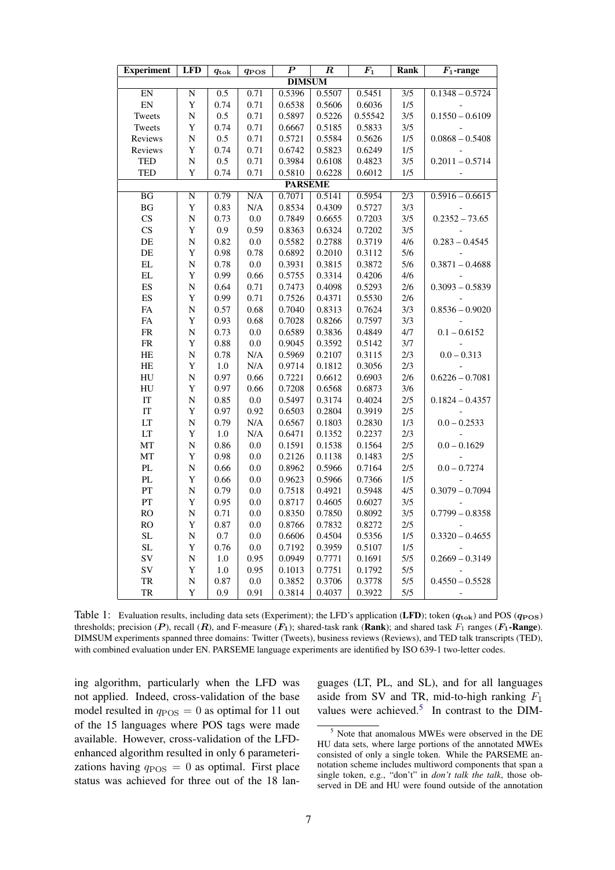| <b>Experiment</b>          | <b>LFD</b>         | $q_{\rm tok}$ | $q_{\rm{POS}}$  | $\boldsymbol{P}$ | $\boldsymbol{R}$ | $\bm{F_1}$ | <b>Rank</b>      | $\overline{F_1}$ -range |  |  |
|----------------------------|--------------------|---------------|-----------------|------------------|------------------|------------|------------------|-------------------------|--|--|
| <b>DIMSUM</b>              |                    |               |                 |                  |                  |            |                  |                         |  |  |
| EN                         | N                  | 0.5           | 0.71            | 0.5396           | 0.5507           | 0.5451     | $\overline{3/5}$ | $0.1348 - 0.5724$       |  |  |
| ${\rm EN}$                 | Y                  | 0.74          | 0.71            | 0.6538           | 0.5606           | 0.6036     | 1/5              |                         |  |  |
| Tweets                     | $\overline{\rm N}$ | 0.5           | 0.71            | 0.5897           | 0.5226           | 0.55542    | 3/5              | $0.1550 - 0.6109$       |  |  |
| Tweets                     | Y                  | 0.74          | 0.71            | 0.6667           | 0.5185           | 0.5833     | 3/5              |                         |  |  |
| Reviews                    | N                  | 0.5           | 0.71            | 0.5721           | 0.5584           | 0.5626     | 1/5              | $0.0868 - 0.5408$       |  |  |
| Reviews                    | Y                  | 0.74          | 0.71            | 0.6742           | 0.5823           | 0.6249     | $1/5$            |                         |  |  |
| TED                        | N                  | 0.5           | 0.71            | 0.3984           | 0.6108           | 0.4823     | 3/5              | $0.2011 - 0.5714$       |  |  |
| <b>TED</b>                 | Y                  | 0.74          | 0.71            | 0.5810           | 0.6228           | 0.6012     | 1/5              |                         |  |  |
| <b>PARSEME</b>             |                    |               |                 |                  |                  |            |                  |                         |  |  |
| $\overline{BG}$            | N                  | 0.79          | N/A             | 0.7071           | 0.5141           | 0.5954     | $\overline{2/3}$ | $0.5916 - 0.6615$       |  |  |
| $\mathbf{B}\mathbf{G}$     | $\mathbf Y$        | 0.83          | N/A             | 0.8534           | 0.4309           | 0.5727     | 3/3              |                         |  |  |
| CS                         | N                  | 0.73          | 0.0             | 0.7849           | 0.6655           | 0.7203     | 3/5              | $0.2352 - 73.65$        |  |  |
| $\mathbf{C}\mathbf{S}$     | $\mathbf Y$        | 0.9           | 0.59            | 0.8363           | 0.6324           | 0.7202     | 3/5              |                         |  |  |
| DE                         | $\overline{\rm N}$ | 0.82          | $0.0\,$         | 0.5582           | 0.2788           | 0.3719     | 4/6              | $0.283 - 0.4545$        |  |  |
| $\rm DE$                   | Y                  | 0.98          | 0.78            | 0.6892           | 0.2010           | 0.3112     | 5/6              |                         |  |  |
| $\mathop{\rm EL}$          | N                  | 0.78          | $0.0\,$         | 0.3931           | 0.3815           | 0.3872     | 5/6              | $0.3871 - 0.4688$       |  |  |
| $\mathbf{EL}$              | Y                  | 0.99          | 0.66            | 0.5755           | 0.3314           | 0.4206     | 4/6              |                         |  |  |
| $\mathop{\hbox{\rm ES}}$   | N                  | 0.64          | 0.71            | 0.7473           | 0.4098           | 0.5293     | $2/6$            | $0.3093 - 0.5839$       |  |  |
| ES                         | Y                  | 0.99          | 0.71            | 0.7526           | 0.4371           | 0.5530     | 2/6              |                         |  |  |
| ${\rm FA}$                 | $\overline{N}$     | 0.57          | 0.68            | 0.7040           | 0.8313           | 0.7624     | 3/3              | $0.8536 - 0.9020$       |  |  |
| ${\rm FA}$                 | Y                  | 0.93          | 0.68            | 0.7028           | 0.8266           | 0.7597     | 3/3              |                         |  |  |
| ${\rm FR}$                 | N                  | 0.73          | 0.0             | 0.6589           | 0.3836           | 0.4849     | 4/7              | $0.1 - 0.6152$          |  |  |
| ${\rm FR}$                 | Y                  | 0.88          | 0.0             | 0.9045           | 0.3592           | 0.5142     | 3/7              |                         |  |  |
| HE                         | ${\bf N}$          | 0.78          | N/A             | 0.5969           | 0.2107           | 0.3115     | 2/3              | $0.0 - 0.313$           |  |  |
| HE                         | Y                  | 1.0           | N/A             | 0.9714           | 0.1812           | 0.3056     | 2/3              |                         |  |  |
| HU                         | ${\bf N}$          | 0.97          | 0.66            | 0.7221           | 0.6612           | 0.6903     | $2/6$            | $0.6226 - 0.7081$       |  |  |
| HU                         | Y                  | 0.97          | 0.66            | 0.7208           | 0.6568           | 0.6873     | 3/6              |                         |  |  |
| $\ensuremath{\mathsf{IT}}$ | $\overline{\rm N}$ | 0.85          | $0.0\,$         | 0.5497           | 0.3174           | 0.4024     | $2/5$            | $0.1824 - 0.4357$       |  |  |
| $\ensuremath{\mathsf{IT}}$ | Y                  | 0.97          | 0.92            | 0.6503           | 0.2804           | 0.3919     | $2/5$            |                         |  |  |
| LT                         | $\overline{\rm N}$ | 0.79          | N/A             | 0.6567           | 0.1803           | 0.2830     | 1/3              | $0.0 - 0.2533$          |  |  |
| LT                         | Y                  | 1.0           | N/A             | 0.6471           | 0.1352           | 0.2237     | 2/3              |                         |  |  |
| MT                         | N                  | 0.86          | 0.0             | 0.1591           | 0.1538           | 0.1564     | $2/5$            | $0.0 - 0.1629$          |  |  |
| MT                         | $\mathbf Y$        | 0.98          | $0.0\,$         | 0.2126           | 0.1138           | 0.1483     | $2/5$            |                         |  |  |
| $\mathbf{PL}$              | N                  | 0.66          | 0.0             | 0.8962           | 0.5966           | 0.7164     | $2/5$            | $0.0 - 0.7274$          |  |  |
| $\mathbf{P}\mathbf{L}$     | $\mathbf Y$        | 0.66          | 0.0             | 0.9623           | 0.5966           | 0.7366     | $1/5$            |                         |  |  |
| PT                         | $\overline{\rm N}$ | 0.79          | 0.0             | 0.7518           | 0.4921           | 0.5948     | 4/5              | $0.3079 - 0.7094$       |  |  |
| ${\cal PT}$                | Y                  | 0.95          | $0.0\,$         | 0.8717           | 0.4605           | 0.6027     | 3/5              |                         |  |  |
| RO                         | $\overline{\rm N}$ | 0.71          | 0.0             | 0.8350           | 0.7850           | 0.8092     | 3/5              | $0.7799 - 0.8358$       |  |  |
| RO                         | $\mathbf Y$        | $0.87\,$      | 0.0             | 0.8766           | 0.7832           | 0.8272     | $2/5$            |                         |  |  |
| SL<br><b>SL</b>            | N                  | $0.7\,$       | $0.0\,$         | 0.6606           | 0.4504           | 0.5356     | 1/5              | $0.3320 - 0.4655$       |  |  |
| <b>SV</b>                  | Y                  | 0.76          | 0.0             | 0.7192           | 0.3959           | 0.5107     | 1/5<br>5/5       |                         |  |  |
| SV                         | ${\bf N}$          | 1.0           | 0.95            | 0.0949           | 0.7771           | 0.1691     | 5/5              | $0.2669 - 0.3149$       |  |  |
| TR                         | Y<br>${\bf N}$     | 1.0<br>0.87   | 0.95<br>$0.0\,$ | 0.1013<br>0.3852 | 0.7751<br>0.3706 | 0.1792     | 5/5              | $0.4550 - 0.5528$       |  |  |
|                            | Y                  |               |                 |                  |                  | 0.3778     | 5/5              |                         |  |  |
| TR                         |                    | 0.9           | 0.91            | 0.3814           | 0.4037           | 0.3922     |                  |                         |  |  |

Table 1: Evaluation results, including data sets (Experiment); the LFD's application (LFD); token  $(q_{\text{tok}})$  and POS  $(q_{\text{POS}})$ thresholds; precision (P), recall (R), and F-measure  $(F_1)$ ; shared-task rank (Rank); and shared task  $F_1$  ranges ( $F_1$ -Range). DIMSUM experiments spanned three domains: Twitter (Tweets), business reviews (Reviews), and TED talk transcripts (TED), with combined evaluation under EN. PARSEME language experiments are identified by ISO 639-1 two-letter codes.

ing algorithm, particularly when the LFD was not applied. Indeed, cross-validation of the base model resulted in  $q_{\rm POS} = 0$  as optimal for 11 out of the 15 languages where POS tags were made available. However, cross-validation of the LFDenhanced algorithm resulted in only 6 parameterizations having  $q_{\rm POS} = 0$  as optimal. First place status was achieved for three out of the 18 languages (LT, PL, and SL), and for all languages aside from SV and TR, mid-to-high ranking  $F_1$ values were achieved.<sup>5</sup> In contrast to the DIM-

<sup>5</sup> Note that anomalous MWEs were observed in the DE HU data sets, where large portions of the annotated MWEs consisted of only a single token. While the PARSEME annotation scheme includes multiword components that span a single token, e.g., "don't" in *don't talk the talk*, those observed in DE and HU were found outside of the annotation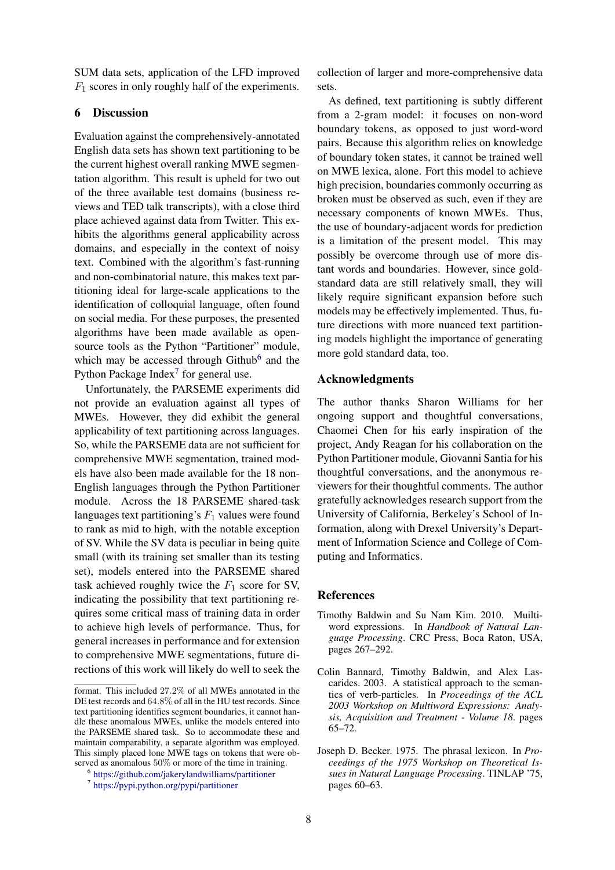SUM data sets, application of the LFD improved  $F_1$  scores in only roughly half of the experiments.

### 6 Discussion

Evaluation against the comprehensively-annotated English data sets has shown text partitioning to be the current highest overall ranking MWE segmentation algorithm. This result is upheld for two out of the three available test domains (business reviews and TED talk transcripts), with a close third place achieved against data from Twitter. This exhibits the algorithms general applicability across domains, and especially in the context of noisy text. Combined with the algorithm's fast-running and non-combinatorial nature, this makes text partitioning ideal for large-scale applications to the identification of colloquial language, often found on social media. For these purposes, the presented algorithms have been made available as opensource tools as the Python "Partitioner" module, which may be accessed through Github<sup>6</sup> and the Python Package Index<sup>7</sup> for general use.

Unfortunately, the PARSEME experiments did not provide an evaluation against all types of MWEs. However, they did exhibit the general applicability of text partitioning across languages. So, while the PARSEME data are not sufficient for comprehensive MWE segmentation, trained models have also been made available for the 18 non-English languages through the Python Partitioner module. Across the 18 PARSEME shared-task languages text partitioning's  $F_1$  values were found to rank as mid to high, with the notable exception of SV. While the SV data is peculiar in being quite small (with its training set smaller than its testing set), models entered into the PARSEME shared task achieved roughly twice the  $F_1$  score for SV, indicating the possibility that text partitioning requires some critical mass of training data in order to achieve high levels of performance. Thus, for general increases in performance and for extension to comprehensive MWE segmentations, future directions of this work will likely do well to seek the

collection of larger and more-comprehensive data sets.

As defined, text partitioning is subtly different from a 2-gram model: it focuses on non-word boundary tokens, as opposed to just word-word pairs. Because this algorithm relies on knowledge of boundary token states, it cannot be trained well on MWE lexica, alone. Fort this model to achieve high precision, boundaries commonly occurring as broken must be observed as such, even if they are necessary components of known MWEs. Thus, the use of boundary-adjacent words for prediction is a limitation of the present model. This may possibly be overcome through use of more distant words and boundaries. However, since goldstandard data are still relatively small, they will likely require significant expansion before such models may be effectively implemented. Thus, future directions with more nuanced text partitioning models highlight the importance of generating more gold standard data, too.

#### Acknowledgments

The author thanks Sharon Williams for her ongoing support and thoughtful conversations, Chaomei Chen for his early inspiration of the project, Andy Reagan for his collaboration on the Python Partitioner module, Giovanni Santia for his thoughtful conversations, and the anonymous reviewers for their thoughtful comments. The author gratefully acknowledges research support from the University of California, Berkeley's School of Information, along with Drexel University's Department of Information Science and College of Computing and Informatics.

### **References**

- Timothy Baldwin and Su Nam Kim. 2010. Muiltiword expressions. In *Handbook of Natural Language Processing*. CRC Press, Boca Raton, USA, pages 267–292.
- Colin Bannard, Timothy Baldwin, and Alex Lascarides. 2003. A statistical approach to the semantics of verb-particles. In *Proceedings of the ACL 2003 Workshop on Multiword Expressions: Analysis, Acquisition and Treatment - Volume 18*. pages 65–72.
- Joseph D. Becker. 1975. The phrasal lexicon. In *Proceedings of the 1975 Workshop on Theoretical Issues in Natural Language Processing*. TINLAP '75, pages 60–63.

format. This included 27.2% of all MWEs annotated in the DE test records and 64.8% of all in the HU test records. Since text partitioning identifies segment boundaries, it cannot handle these anomalous MWEs, unlike the models entered into the PARSEME shared task. So to accommodate these and maintain comparability, a separate algorithm was employed. This simply placed lone MWE tags on tokens that were observed as anomalous 50% or more of the time in training.

<sup>6</sup> https://github.com/jakerylandwilliams/partitioner

<sup>7</sup> https://pypi.python.org/pypi/partitioner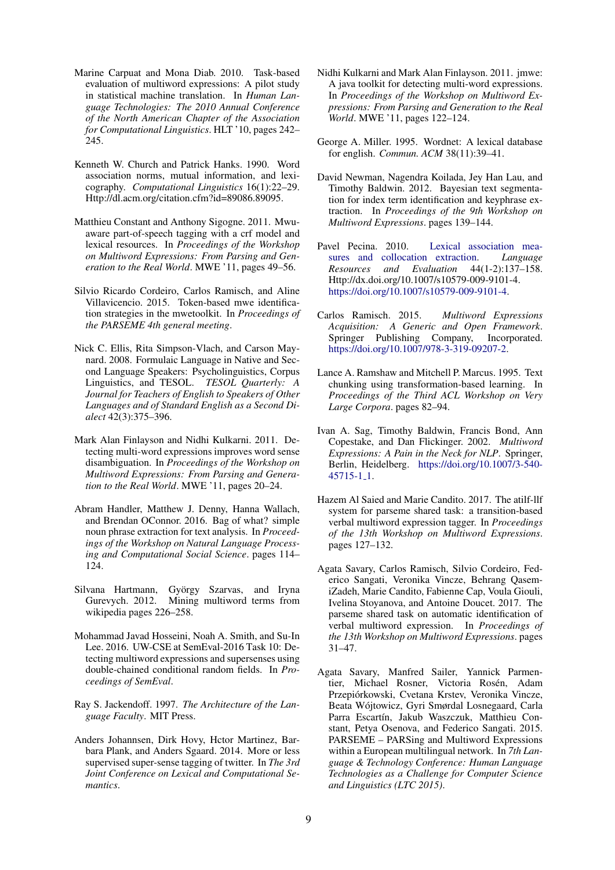- Marine Carpuat and Mona Diab. 2010. Task-based evaluation of multiword expressions: A pilot study in statistical machine translation. In *Human Language Technologies: The 2010 Annual Conference of the North American Chapter of the Association for Computational Linguistics*. HLT '10, pages 242– 245.
- Kenneth W. Church and Patrick Hanks. 1990. Word association norms, mutual information, and lexicography. *Computational Linguistics* 16(1):22–29. Http://dl.acm.org/citation.cfm?id=89086.89095.
- Matthieu Constant and Anthony Sigogne. 2011. Mwuaware part-of-speech tagging with a crf model and lexical resources. In *Proceedings of the Workshop on Multiword Expressions: From Parsing and Generation to the Real World*. MWE '11, pages 49–56.
- Silvio Ricardo Cordeiro, Carlos Ramisch, and Aline Villavicencio. 2015. Token-based mwe identification strategies in the mwetoolkit. In *Proceedings of the PARSEME 4th general meeting*.
- Nick C. Ellis, Rita Simpson-Vlach, and Carson Maynard. 2008. Formulaic Language in Native and Second Language Speakers: Psycholinguistics, Corpus Linguistics, and TESOL. *TESOL Quarterly: A Journal for Teachers of English to Speakers of Other Languages and of Standard English as a Second Dialect* 42(3):375–396.
- Mark Alan Finlayson and Nidhi Kulkarni. 2011. Detecting multi-word expressions improves word sense disambiguation. In *Proceedings of the Workshop on Multiword Expressions: From Parsing and Generation to the Real World*. MWE '11, pages 20–24.
- Abram Handler, Matthew J. Denny, Hanna Wallach, and Brendan OConnor. 2016. Bag of what? simple noun phrase extraction for text analysis. In *Proceedings of the Workshop on Natural Language Processing and Computational Social Science*. pages 114– 124.
- Silvana Hartmann, György Szarvas, and Iryna Gurevych. 2012. Mining multiword terms from wikipedia pages 226–258.
- Mohammad Javad Hosseini, Noah A. Smith, and Su-In Lee. 2016. UW-CSE at SemEval-2016 Task 10: Detecting multiword expressions and supersenses using double-chained conditional random fields. In *Proceedings of SemEval*.
- Ray S. Jackendoff. 1997. *The Architecture of the Language Faculty*. MIT Press.
- Anders Johannsen, Dirk Hovy, Hctor Martinez, Barbara Plank, and Anders Sgaard. 2014. More or less supervised super-sense tagging of twitter. In *The 3rd Joint Conference on Lexical and Computational Semantics*.
- Nidhi Kulkarni and Mark Alan Finlayson. 2011. jmwe: A java toolkit for detecting multi-word expressions. In *Proceedings of the Workshop on Multiword Expressions: From Parsing and Generation to the Real World*. MWE '11, pages 122–124.
- George A. Miller. 1995. Wordnet: A lexical database for english. *Commun. ACM* 38(11):39–41.
- David Newman, Nagendra Koilada, Jey Han Lau, and Timothy Baldwin. 2012. Bayesian text segmentation for index term identification and keyphrase extraction. In *Proceedings of the 9th Workshop on Multiword Expressions*. pages 139–144.
- Pavel Pecina. 2010. Lexical association measures and collocation extraction. *Language Resources and Evaluation* 44(1-2):137–158. Http://dx.doi.org/10.1007/s10579-009-9101-4. https://doi.org/10.1007/s10579-009-9101-4.
- Carlos Ramisch. 2015. *Multiword Expressions Acquisition: A Generic and Open Framework*. Springer Publishing Company, Incorporated. https://doi.org/10.1007/978-3-319-09207-2.
- Lance A. Ramshaw and Mitchell P. Marcus. 1995. Text chunking using transformation-based learning. In *Proceedings of the Third ACL Workshop on Very Large Corpora*. pages 82–94.
- Ivan A. Sag, Timothy Baldwin, Francis Bond, Ann Copestake, and Dan Flickinger. 2002. *Multiword Expressions: A Pain in the Neck for NLP*. Springer, Berlin, Heidelberg. https://doi.org/10.1007/3-540- 45715-1 1.
- Hazem Al Saied and Marie Candito. 2017. The atilf-llf system for parseme shared task: a transition-based verbal multiword expression tagger. In *Proceedings of the 13th Workshop on Multiword Expressions*. pages 127–132.
- Agata Savary, Carlos Ramisch, Silvio Cordeiro, Federico Sangati, Veronika Vincze, Behrang QasemiZadeh, Marie Candito, Fabienne Cap, Voula Giouli, Ivelina Stoyanova, and Antoine Doucet. 2017. The parseme shared task on automatic identification of verbal multiword expression. In *Proceedings of the 13th Workshop on Multiword Expressions*. pages 31–47.
- Agata Savary, Manfred Sailer, Yannick Parmentier, Michael Rosner, Victoria Rosén, Adam Przepiórkowski, Cvetana Krstev, Veronika Vincze, Beata Wojtowicz, Gyri Smørdal Losnegaard, Carla ´ Parra Escartín, Jakub Waszczuk, Matthieu Constant, Petya Osenova, and Federico Sangati. 2015. PARSEME – PARSing and Multiword Expressions within a European multilingual network. In *7th Language & Technology Conference: Human Language Technologies as a Challenge for Computer Science and Linguistics (LTC 2015)*.